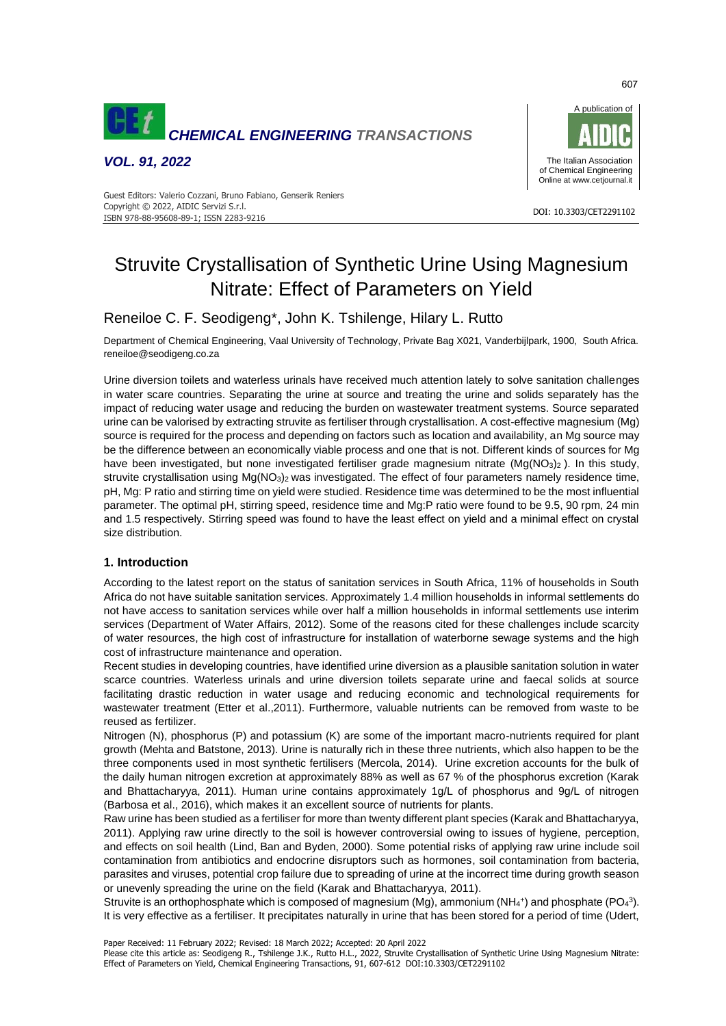

*VOL. 91, 2022*



#### DOI: 10.3303/CET2291102 ISBN 978-88-95608-89-1; ISSN 2283-9216 Guest Editors: Valerio Cozzani, Bruno Fabiano, Genserik Reniers Copyright © 2022, AIDIC Servizi S.r.l.

# Struvite Crystallisation of Synthetic Urine Using Magnesium Nitrate: Effect of Parameters on Yield

# Reneiloe C. F. Seodigeng\*, John K. Tshilenge, Hilary L. Rutto

Department of Chemical Engineering, Vaal University of Technology, Private Bag X021, Vanderbijlpark, 1900, South Africa. reneiloe@seodigeng.co.za

Urine diversion toilets and waterless urinals have received much attention lately to solve sanitation challenges in water scare countries. Separating the urine at source and treating the urine and solids separately has the impact of reducing water usage and reducing the burden on wastewater treatment systems. Source separated urine can be valorised by extracting struvite as fertiliser through crystallisation. A cost-effective magnesium (Mg) source is required for the process and depending on factors such as location and availability, an Mg source may be the difference between an economically viable process and one that is not. Different kinds of sources for Mg have been investigated, but none investigated fertiliser grade magnesium nitrate (Mg(NO<sub>3</sub>)<sub>2</sub>). In this study, struvite crystallisation using Mg(NO<sub>3</sub>)<sub>2</sub> was investigated. The effect of four parameters namely residence time, pH, Mg: P ratio and stirring time on yield were studied. Residence time was determined to be the most influential parameter. The optimal pH, stirring speed, residence time and Mg:P ratio were found to be 9.5, 90 rpm, 24 min and 1.5 respectively. Stirring speed was found to have the least effect on yield and a minimal effect on crystal size distribution.

## **1. Introduction**

According to the latest report on the status of sanitation services in South Africa, 11% of households in South Africa do not have suitable sanitation services. Approximately 1.4 million households in informal settlements do not have access to sanitation services while over half a million households in informal settlements use interim services (Department of Water Affairs, 2012). Some of the reasons cited for these challenges include scarcity of water resources, the high cost of infrastructure for installation of waterborne sewage systems and the high cost of infrastructure maintenance and operation.

Recent studies in developing countries, have identified urine diversion as a plausible sanitation solution in water scarce countries. Waterless urinals and urine diversion toilets separate urine and faecal solids at source facilitating drastic reduction in water usage and reducing economic and technological requirements for wastewater treatment (Etter et al.,2011). Furthermore, valuable nutrients can be removed from waste to be reused as fertilizer.

Nitrogen (N), phosphorus (P) and potassium (K) are some of the important macro-nutrients required for plant growth (Mehta and Batstone, 2013). Urine is naturally rich in these three nutrients, which also happen to be the three components used in most synthetic fertilisers (Mercola, 2014). Urine excretion accounts for the bulk of the daily human nitrogen excretion at approximately 88% as well as 67 % of the phosphorus excretion (Karak and Bhattacharyya, 2011). Human urine contains approximately 1g/L of phosphorus and 9g/L of nitrogen (Barbosa et al., 2016), which makes it an excellent source of nutrients for plants.

Raw urine has been studied as a fertiliser for more than twenty different plant species (Karak and Bhattacharyya, 2011). Applying raw urine directly to the soil is however controversial owing to issues of hygiene, perception, and effects on soil health (Lind, Ban and Byden, 2000). Some potential risks of applying raw urine include soil contamination from antibiotics and endocrine disruptors such as hormones, soil contamination from bacteria, parasites and viruses, potential crop failure due to spreading of urine at the incorrect time during growth season or unevenly spreading the urine on the field (Karak and Bhattacharyya, 2011).

Struvite is an orthophosphate which is composed of magnesium (Mg), ammonium (NH<sub>4</sub>+) and phosphate (PO<sub>4</sub><sup>3</sup>). It is very effective as a fertiliser. It precipitates naturally in urine that has been stored for a period of time (Udert,

Paper Received: 11 February 2022; Revised: 18 March 2022; Accepted: 20 April 2022

607

Please cite this article as: Seodigeng R., Tshilenge J.K., Rutto H.L., 2022, Struvite Crystallisation of Synthetic Urine Using Magnesium Nitrate: Effect of Parameters on Yield, Chemical Engineering Transactions, 91, 607-612 DOI:10.3303/CET2291102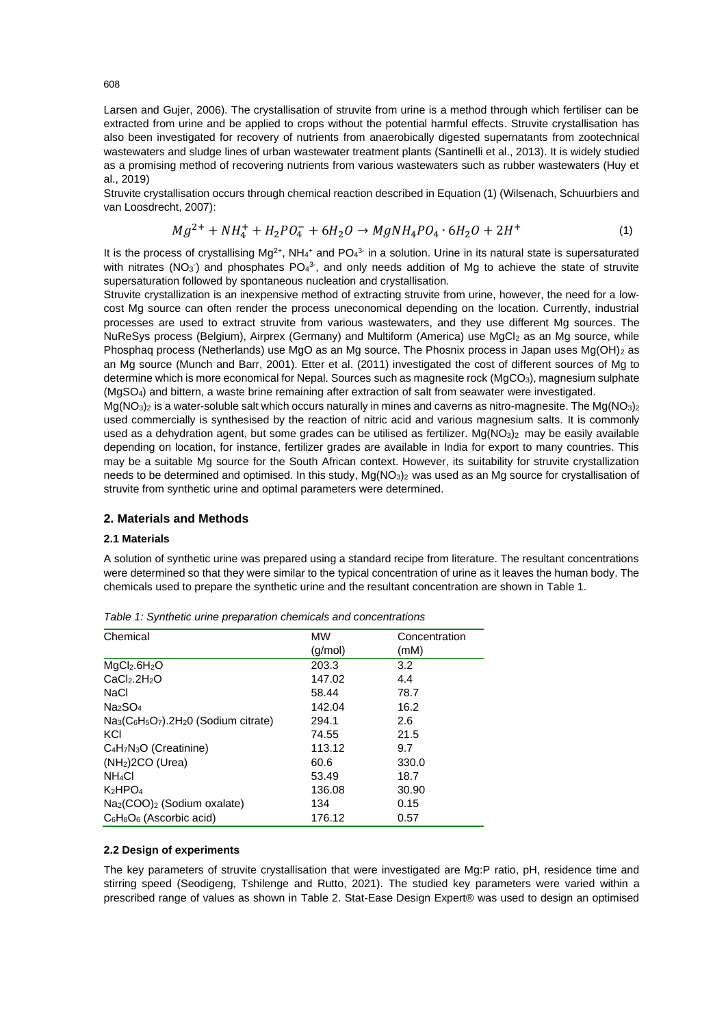Larsen and Gujer, 2006). The crystallisation of struvite from urine is a method through which fertiliser can be extracted from urine and be applied to crops without the potential harmful effects. Struvite crystallisation has also been investigated for recovery of nutrients from anaerobically digested supernatants from zootechnical wastewaters and sludge lines of urban wastewater treatment plants (Santinelli et al., 2013). It is widely studied as a promising method of recovering nutrients from various wastewaters such as rubber wastewaters (Huy et al., 2019)

Struvite crystallisation occurs through chemical reaction described in Equation (1) (Wilsenach, Schuurbiers and van Loosdrecht, 2007):

$$
Mg^{2+} + NH_4^+ + H_2PO_4^- + 6H_2O \rightarrow MgNH_4PO_4 \cdot 6H_2O + 2H^+ \tag{1}
$$

It is the process of crystallising Mg<sup>2+</sup>, NH<sub>4</sub><sup>+</sup> and PO<sub>4</sub><sup>3</sup> in a solution. Urine in its natural state is supersaturated with nitrates (NO<sub>3</sub>) and phosphates PO<sub>4</sub><sup>3</sup>, and only needs addition of Mg to achieve the state of struvite supersaturation followed by spontaneous nucleation and crystallisation.

Struvite crystallization is an inexpensive method of extracting struvite from urine, however, the need for a lowcost Mg source can often render the process uneconomical depending on the location. Currently, industrial processes are used to extract struvite from various wastewaters, and they use different Mg sources. The NuReSys process (Belgium), Airprex (Germany) and Multiform (America) use MgCl<sup>2</sup> as an Mg source, while Phosphaq process (Netherlands) use MgO as an Mg source. The Phosnix process in Japan uses Mg(OH)<sub>2</sub> as an Mg source (Munch and Barr, 2001). Etter et al. (2011) investigated the cost of different sources of Mg to determine which is more economical for Nepal. Sources such as magnesite rock (MgCO<sub>3</sub>), magnesium sulphate (MgSO4) and bittern, a waste brine remaining after extraction of salt from seawater were investigated.

Mg(NO<sub>3</sub>)<sub>2</sub> is a water-soluble salt which occurs naturally in mines and caverns as nitro-magnesite. The Mg(NO<sub>3</sub>)<sub>2</sub> used commercially is synthesised by the reaction of nitric acid and various magnesium salts. It is commonly used as a dehydration agent, but some grades can be utilised as fertilizer. Mg(NO3)<sub>2</sub> may be easily available depending on location, for instance, fertilizer grades are available in India for export to many countries. This may be a suitable Mg source for the South African context. However, its suitability for struvite crystallization needs to be determined and optimised. In this study, Mg(NO<sub>3</sub>)<sub>2</sub> was used as an Mg source for crystallisation of struvite from synthetic urine and optimal parameters were determined.

#### **2. Materials and Methods**

#### **2.1 Materials**

A solution of synthetic urine was prepared using a standard recipe from literature. The resultant concentrations were determined so that they were similar to the typical concentration of urine as it leaves the human body. The chemicals used to prepare the synthetic urine and the resultant concentration are shown in [Table 1.](#page-1-0)

| Chemical                                                    | <b>MW</b> | Concentration |  |
|-------------------------------------------------------------|-----------|---------------|--|
|                                                             | (g/mol)   | (mM)          |  |
| MgCl <sub>2</sub> .6H <sub>2</sub> O                        | 203.3     | 3.2           |  |
| CaCl <sub>2</sub> .2H <sub>2</sub> O                        | 147.02    | 4.4           |  |
| NaCl                                                        | 58.44     | 78.7          |  |
| Na <sub>2</sub> SO <sub>4</sub>                             | 142.04    | 16.2          |  |
| $Na_3(C_6H_5O_7).2H_2O$ (Sodium citrate)                    | 294.1     | 2.6           |  |
| KCI                                                         | 74.55     | 21.5          |  |
| C <sub>4</sub> H <sub>7</sub> N <sub>3</sub> O (Creatinine) | 113.12    | 9.7           |  |
| $(NH2)2CO$ (Urea)                                           | 60.6      | 330.0         |  |
| NH <sub>4</sub> CI                                          | 53.49     | 18.7          |  |
| $K_2HPO_4$                                                  | 136.08    | 30.90         |  |
| Na <sub>2</sub> (COO) <sub>2</sub> (Sodium oxalate)         | 134       | 0.15          |  |
| $C_6H_8O_6$ (Ascorbic acid)                                 | 176.12    | 0.57          |  |

<span id="page-1-0"></span>*Table 1: Synthetic urine preparation chemicals and concentrations*

#### **2.2 Design of experiments**

The key parameters of struvite crystallisation that were investigated are Mg:P ratio, pH, residence time and stirring speed (Seodigeng, Tshilenge and Rutto, 2021). The studied key parameters were varied within a prescribed range of values as shown in [Table 2.](#page-2-0) Stat-Ease Design Expert® was used to design an optimised

608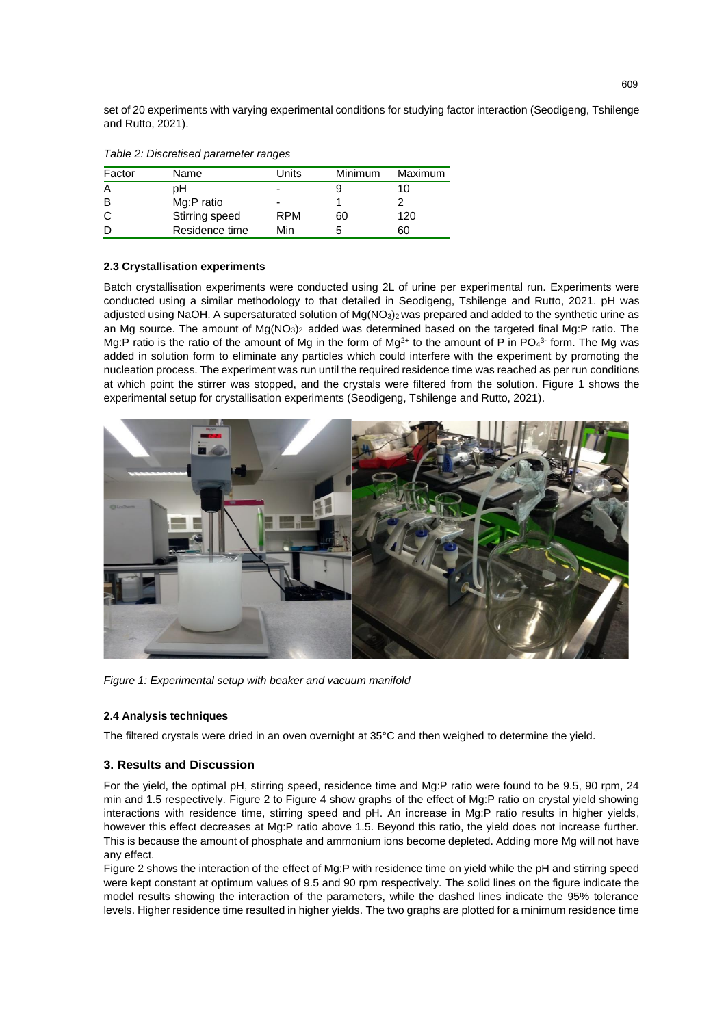set of 20 experiments with varying experimental conditions for studying factor interaction (Seodigeng, Tshilenge and Rutto, 2021).

| rapio E. Bioorotioca paramotor rangoo |                |                |         |         |  |
|---------------------------------------|----------------|----------------|---------|---------|--|
| Factor                                | Name           | Units          | Minimum | Maximum |  |
| Α                                     | pН             | -              |         | 10      |  |
| B                                     | Mg:P ratio     | $\blacksquare$ |         |         |  |
| C                                     | Stirring speed | RPM            | 60      | 120     |  |
| D                                     | Residence time | Min            |         | 60      |  |

<span id="page-2-0"></span>*Table 2: Discretised parameter ranges*

#### **2.3 Crystallisation experiments**

Batch crystallisation experiments were conducted using 2L of urine per experimental run. Experiments were conducted using a similar methodology to that detailed in Seodigeng, Tshilenge and Rutto, 2021. pH was adjusted using NaOH. A supersaturated solution of  $Mg(NO<sub>3</sub>)<sub>2</sub>$  was prepared and added to the synthetic urine as an Mg source. The amount of Mg(NO<sub>3</sub>)<sub>2</sub> added was determined based on the targeted final Mg:P ratio. The Mg:P ratio is the ratio of the amount of Mg in the form of Mg<sup>2+</sup> to the amount of P in PO<sub>4</sub><sup>3</sup> form. The Mg was added in solution form to eliminate any particles which could interfere with the experiment by promoting the nucleation process. The experiment was run until the required residence time was reached as per run conditions at which point the stirrer was stopped, and the crystals were filtered from the solution. [Figure 1](#page-2-1) shows the experimental setup for crystallisation experiments (Seodigeng, Tshilenge and Rutto, 2021).



*Figure 1: Experimental setup with beaker and vacuum manifold*

#### <span id="page-2-1"></span>**2.4 Analysis techniques**

The filtered crystals were dried in an oven overnight at 35°C and then weighed to determine the yield.

## **3. Results and Discussion**

For the yield, the optimal pH, stirring speed, residence time and Mg:P ratio were found to be 9.5, 90 rpm, 24 min and 1.5 respectively. [Figure 2](#page-3-0) to [Figure 4](#page-4-0) show graphs of the effect of Mg:P ratio on crystal yield showing interactions with residence time, stirring speed and pH. An increase in Mg:P ratio results in higher yields, however this effect decreases at Mg:P ratio above 1.5. Beyond this ratio, the yield does not increase further. This is because the amount of phosphate and ammonium ions become depleted. Adding more Mg will not have any effect.

[Figure 2](#page-3-0) shows the interaction of the effect of Mg:P with residence time on yield while the pH and stirring speed were kept constant at optimum values of 9.5 and 90 rpm respectively. The solid lines on the figure indicate the model results showing the interaction of the parameters, while the dashed lines indicate the 95% tolerance levels. Higher residence time resulted in higher yields. The two graphs are plotted for a minimum residence time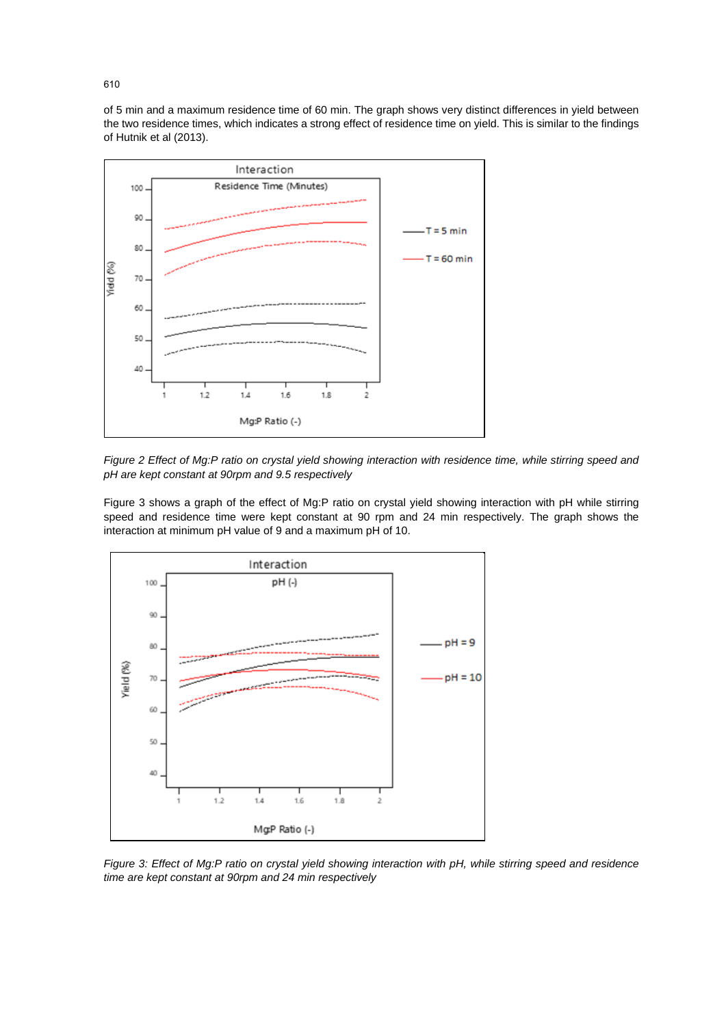of 5 min and a maximum residence time of 60 min. The graph shows very distinct differences in yield between the two residence times, which indicates a strong effect of residence time on yield. This is similar to the findings of Hutnik et al (2013).



<span id="page-3-0"></span>*Figure 2 Effect of Mg:P ratio on crystal yield showing interaction with residence time, while stirring speed and pH are kept constant at 90rpm and 9.5 respectively*

[Figure 3](#page-3-1) shows a graph of the effect of Mg:P ratio on crystal yield showing interaction with pH while stirring speed and residence time were kept constant at 90 rpm and 24 min respectively. The graph shows the interaction at minimum pH value of 9 and a maximum pH of 10.



<span id="page-3-1"></span>*Figure 3: Effect of Mg:P ratio on crystal yield showing interaction with pH, while stirring speed and residence time are kept constant at 90rpm and 24 min respectively*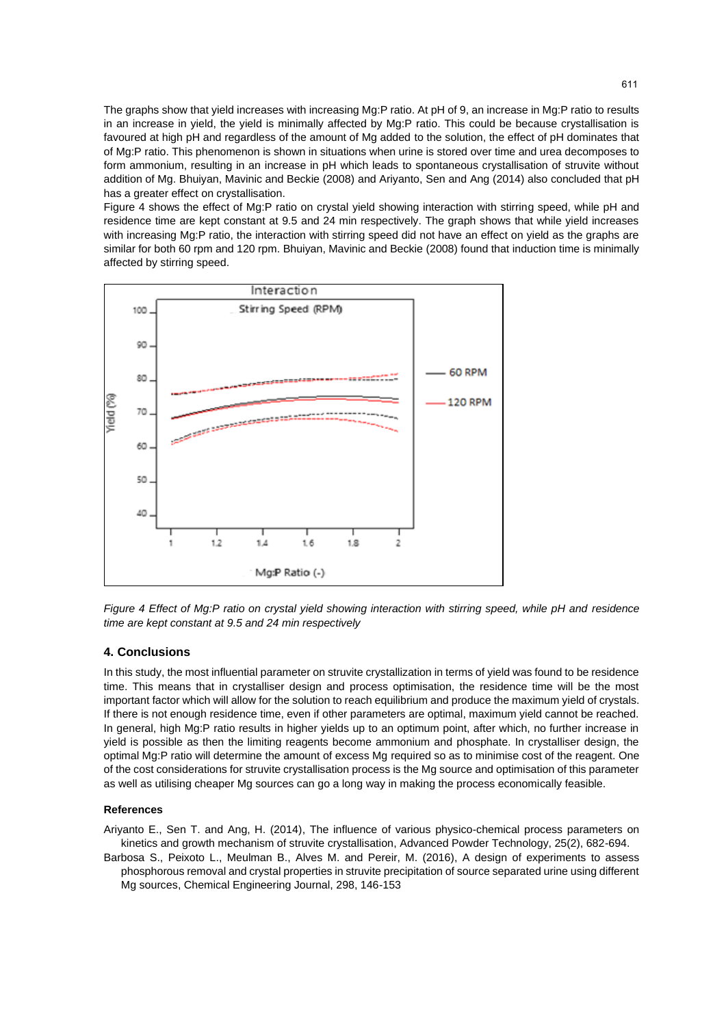The graphs show that yield increases with increasing Mg:P ratio. At pH of 9, an increase in Mg:P ratio to results in an increase in yield, the yield is minimally affected by Mg:P ratio. This could be because crystallisation is favoured at high pH and regardless of the amount of Mg added to the solution, the effect of pH dominates that of Mg:P ratio. This phenomenon is shown in situations when urine is stored over time and urea decomposes to form ammonium, resulting in an increase in pH which leads to spontaneous crystallisation of struvite without addition of Mg. Bhuiyan, Mavinic and Beckie (2008) and Ariyanto, Sen and Ang (2014) also concluded that pH has a greater effect on crystallisation.

[Figure 4](#page-4-0) shows the effect of Mg:P ratio on crystal yield showing interaction with stirring speed, while pH and residence time are kept constant at 9.5 and 24 min respectively. The graph shows that while yield increases with increasing Mg:P ratio, the interaction with stirring speed did not have an effect on yield as the graphs are similar for both 60 rpm and 120 rpm. Bhuiyan, Mavinic and Beckie (2008) found that induction time is minimally affected by stirring speed.



<span id="page-4-0"></span>*Figure 4 Effect of Mg:P ratio on crystal yield showing interaction with stirring speed, while pH and residence time are kept constant at 9.5 and 24 min respectively*

#### **4. Conclusions**

In this study, the most influential parameter on struvite crystallization in terms of yield was found to be residence time. This means that in crystalliser design and process optimisation, the residence time will be the most important factor which will allow for the solution to reach equilibrium and produce the maximum yield of crystals. If there is not enough residence time, even if other parameters are optimal, maximum yield cannot be reached. In general, high Mg:P ratio results in higher yields up to an optimum point, after which, no further increase in yield is possible as then the limiting reagents become ammonium and phosphate. In crystalliser design, the optimal Mg:P ratio will determine the amount of excess Mg required so as to minimise cost of the reagent. One of the cost considerations for struvite crystallisation process is the Mg source and optimisation of this parameter as well as utilising cheaper Mg sources can go a long way in making the process economically feasible.

#### **References**

Ariyanto E., Sen T. and Ang, H. (2014), The influence of various physico-chemical process parameters on kinetics and growth mechanism of struvite crystallisation, Advanced Powder Technology, 25(2), 682-694.

Barbosa S., Peixoto L., Meulman B., Alves M. and Pereir, M. (2016), A design of experiments to assess phosphorous removal and crystal properties in struvite precipitation of source separated urine using different Mg sources, Chemical Engineering Journal, 298, 146-153